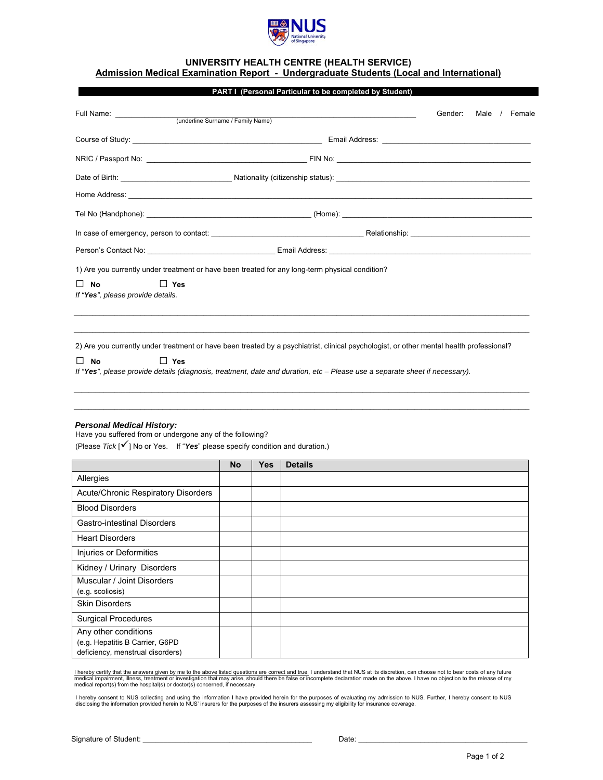

## **UNIVERSITY HEALTH CENTRE (HEALTH SERVICE) Admission Medical Examination Report - Undergraduate Students (Local and International)**

|                                                                                                                                                                                                     |                                   |     | PART I (Personal Particular to be completed by Student) |         |      |  |          |
|-----------------------------------------------------------------------------------------------------------------------------------------------------------------------------------------------------|-----------------------------------|-----|---------------------------------------------------------|---------|------|--|----------|
|                                                                                                                                                                                                     |                                   |     |                                                         | Gender: | Male |  | / Female |
|                                                                                                                                                                                                     | (underline Surname / Family Name) |     |                                                         |         |      |  |          |
|                                                                                                                                                                                                     |                                   |     |                                                         |         |      |  |          |
|                                                                                                                                                                                                     |                                   |     |                                                         |         |      |  |          |
| Date of Birth: <u>Contract of Birth:</u> Nationality (citizenship status): Contract of Birth: Contract of Birth: Contract of Birth: Nationality (citizenship status):                               |                                   |     |                                                         |         |      |  |          |
|                                                                                                                                                                                                     |                                   |     |                                                         |         |      |  |          |
|                                                                                                                                                                                                     |                                   |     |                                                         |         |      |  |          |
|                                                                                                                                                                                                     |                                   |     |                                                         |         |      |  |          |
|                                                                                                                                                                                                     |                                   |     |                                                         |         |      |  |          |
| 2) Are you currently under treatment or have been treated by a psychiatrist, clinical psychologist, or other mental health professional?                                                            |                                   |     |                                                         |         |      |  |          |
| <b>No</b><br>$\Box$ Yes<br>$\Box$<br>If "Yes", please provide details (diagnosis, treatment, date and duration, etc - Please use a separate sheet if necessary).                                    |                                   |     |                                                         |         |      |  |          |
| <b>Personal Medical History:</b><br>Have you suffered from or undergone any of the following?<br>(Please $Tick \,   \, \checkmark \,  $ No or Yes. If "Yes" please specify condition and duration.) | <b>No</b>                         | Yes | <b>Details</b>                                          |         |      |  |          |
| Allergies                                                                                                                                                                                           |                                   |     |                                                         |         |      |  |          |

| Allergies                                                                                   |  |  |
|---------------------------------------------------------------------------------------------|--|--|
| Acute/Chronic Respiratory Disorders                                                         |  |  |
| <b>Blood Disorders</b>                                                                      |  |  |
| <b>Gastro-intestinal Disorders</b>                                                          |  |  |
| <b>Heart Disorders</b>                                                                      |  |  |
| Injuries or Deformities                                                                     |  |  |
| Kidney / Urinary Disorders                                                                  |  |  |
| Muscular / Joint Disorders<br>(e.g. scoliosis)                                              |  |  |
| <b>Skin Disorders</b>                                                                       |  |  |
| <b>Surgical Procedures</b>                                                                  |  |  |
| Any other conditions<br>(e.g. Hepatitis B Carrier, G6PD<br>deficiency, menstrual disorders) |  |  |

<u>l hereby certify that the answers given by me to the above listed questions are correct and true.</u> I understand that NUS at its discretion, can choose not to bear costs of any future<br>medical impairment, illness, treatment

I hereby consent to NUS collecting and using the information I have provided herein for the purposes of evaluating my admission to NUS. Further, I hereby consent to NUS<br>disclosing the information provided herein to NUS' in